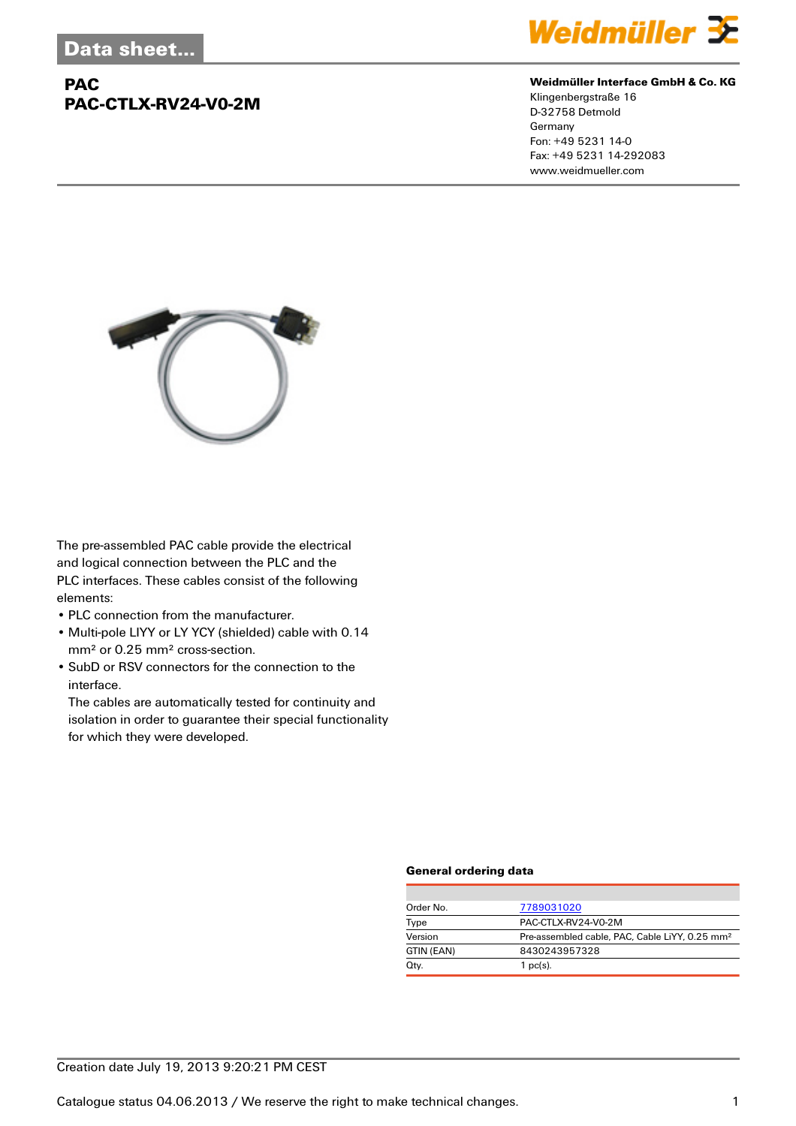## **PAC PAC-CTLX-RV24-V0-2M**



#### **Weidmüller Interface GmbH & Co. KG**

Klingenbergstraße 16 D-32758 Detmold Germany Fon: +49 5231 14-0 Fax: +49 5231 14-292083 www.weidmueller.com



The pre-assembled PAC cable provide the electrical and logical connection between the PLC and the PLC interfaces. These cables consist of the following elements:

- PLC connection from the manufacturer.
- Multi-pole LIYY or LY YCY (shielded) cable with 0.14 mm² or 0.25 mm² cross-section.
- SubD or RSV connectors for the connection to the interface.

The cables are automatically tested for continuity and isolation in order to guarantee their special functionality for which they were developed.

#### **General ordering data**

| Order No.  | 7789031020                                                 |
|------------|------------------------------------------------------------|
| Type       | PAC-CTLX-RV24-V0-2M                                        |
| Version    | Pre-assembled cable, PAC, Cable LiYY, 0.25 mm <sup>2</sup> |
| GTIN (EAN) | 8430243957328                                              |
| Qty.       | $1$ pc(s).                                                 |